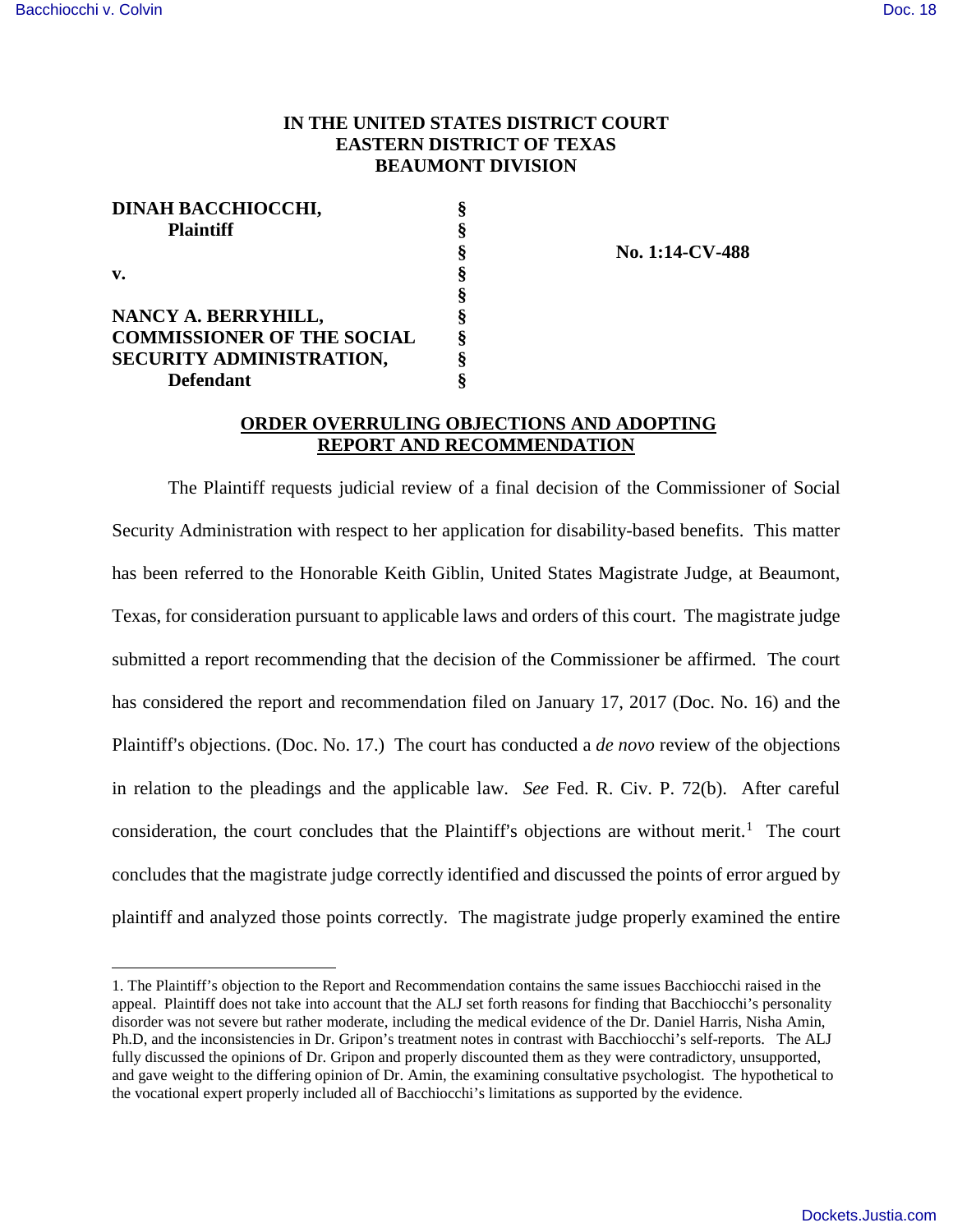<u>.</u>

## **IN THE UNITED STATES DISTRICT COURT EASTERN DISTRICT OF TEXAS BEAUMONT DIVISION**

| DINAH BACCHIOCCHI,                |  |
|-----------------------------------|--|
| <b>Plaintiff</b>                  |  |
|                                   |  |
| v.                                |  |
|                                   |  |
| NANCY A. BERRYHILL,               |  |
| <b>COMMISSIONER OF THE SOCIAL</b> |  |
| SECURITY ADMINISTRATION,          |  |
| <b>Defendant</b>                  |  |

 **§ No. 1:14-CV-488** 

## **ORDER OVERRULING OBJECTIONS AND ADOPTING REPORT AND RECOMMENDATION**

The Plaintiff requests judicial review of a final decision of the Commissioner of Social Security Administration with respect to her application for disability-based benefits. This matter has been referred to the Honorable Keith Giblin, United States Magistrate Judge, at Beaumont, Texas, for consideration pursuant to applicable laws and orders of this court. The magistrate judge submitted a report recommending that the decision of the Commissioner be affirmed. The court has considered the report and recommendation filed on January 17, 2017 (Doc. No. 16) and the Plaintiff's objections. (Doc. No. 17.) The court has conducted a *de novo* review of the objections in relation to the pleadings and the applicable law. *See* Fed. R. Civ. P. 72(b). After careful consideration, the court concludes that the Plaintiff's objections are without merit.<sup>[1](#page-0-0)</sup> The court concludes that the magistrate judge correctly identified and discussed the points of error argued by plaintiff and analyzed those points correctly. The magistrate judge properly examined the entire

<span id="page-0-0"></span><sup>1.</sup> The Plaintiff's objection to the Report and Recommendation contains the same issues Bacchiocchi raised in the appeal. Plaintiff does not take into account that the ALJ set forth reasons for finding that Bacchiocchi's personality disorder was not severe but rather moderate, including the medical evidence of the Dr. Daniel Harris, Nisha Amin, Ph.D, and the inconsistencies in Dr. Gripon's treatment notes in contrast with Bacchiocchi's self-reports. The ALJ fully discussed the opinions of Dr. Gripon and properly discounted them as they were contradictory, unsupported, and gave weight to the differing opinion of Dr. Amin, the examining consultative psychologist. The hypothetical to the vocational expert properly included all of Bacchiocchi's limitations as supported by the evidence.